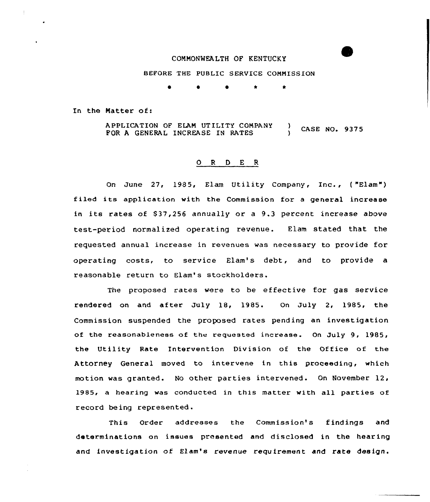# COMMONMEALTH OF KENTUCKY

BEFORE THE PUBLIC SERVICE COMMISSION

 $\bullet$   $\star$ 

In the Natter of:

<sup>A</sup> PPL ICATION OF ELAN UT ILITY COMPANY AFFLICATION OF ELAM CITLITI COMPANT (ASE NO. 9375 )

### 0 <sup>R</sup> <sup>D</sup> <sup>E</sup> <sup>R</sup>

On June 27, 1985, Elam Utility Company, Inc., ( "Elam") f iled its application with the Commission for <sup>a</sup> general increase in its rates of \$37,256 annually or a 9.3 percent increase above test-period normalized operating revenue. Elam stated that the requested annual increase in revenues was necessary to provide for operating costs, to service Elam's debt, and to provide a reasonable return to Elam's stockholders.

The proposed rates were to be effective for gas service rendered on and after July 18, 1985. On July 2, 1985, the Commission suspended the proposed rates pending an investigation of the reasonableness of the requested increase. On July 9, 1985, the Utility Rate Intervention Division of the Office of the Attorney General moved to intervene in this proceeding, which motion was granted. No other parties intervened. On November 12, 1985, a hearing was conducted in this matter with all parties of record being represented.

This Order addresses the Commission's findings and determinations on issues presented and disclosed in the hearing and investigation of Zlam's revenue requirement and rate design.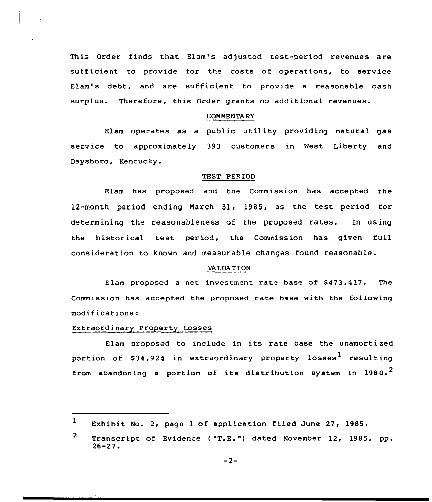This Order finds that Elam's adjusted test-period revenues are sufficient to provide for the costs of operations, to service Elam's debt, and are sufficient to provide a reasonable cash surplus. Therefore, this Order grants no additional revenues.

#### **COMMENTARY**

Elam operates as a public utility providing natural gas service to approximately 393 customers in Nest Liberty and Daysboro, Kentucky.

### TEST PERIOD

Elam has proposed and the Commission has accepted the 12-month period ending March 31, 1985, as the test period tor determining the reasonableness of the proposed rates. In using the historical test period, the Commission has given full consideration to known and measurable changes found reasonable.

### VA LUAT ION

Elam proposed a net investment rate base of  $$473,417$ . The Commission has accepted the proposed rate base with the following modifications!

### Extraordinary Property Losses

Elam proposed to include in its rate base the unamortized portion of \$34,924 in extraordinary property losses<sup>1</sup> resulting from abandoning a portion of its distribution system in  $1980.^2$ 

 $1$  Exhibit No. 2, page 1 of application filed June 27, 1985.

 $2<sup>1</sup>$ Transcript of Evidence ("T.E.") dated November 12, 1985, pp.<br>26-27.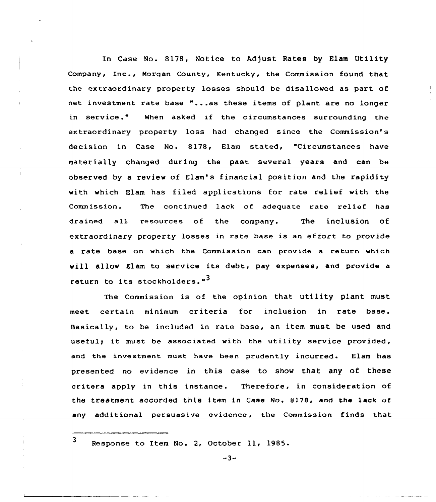In Case No. 8178, Notice to Adjust Rates by Elam Utility Company, Inc., Morgan County, Kentucky, the Commission found that the extraordinary property losses should be disallowed as part of net investment rate base "...as these items of plant are no longer in service." When asked if the circumstances surrounding the extraordinary property loss had changed since the Commission's decision in Case No. 8178, Elam stated, "Circumstances have materially changed during the past several years and can be observed by a review of Elam's financial position and the rapidity with which Elam has filed applications for rate relief with the Commission. The continued lack of adequate rate relief has drained all resources of the company. The inclusion of extraordinary property losses in rate base is an effort to provide a rate base on which the Commission can provide a return which will allow Elam to service its debt, pay expenses, and provide <sup>a</sup> return to its stockholders."<sup>3</sup>

The Commission is of the opinion that utility plant must meet certain minimum criteria for inclusion in rate base. Basically, to be included in rate base, an item must be used and useful; it must be associated with the utility service provided, and the investment must have been prudently incurred. Elam has presented no evidence in this case to show that any of these critera apply in this instance. Therefore, in consideration of the treatment accorded this item in Case No. <sup>8</sup> 17S, and the lack of any additional persuasive evidence, the Commission finds that

3 Response to Item No. 2, October 11, 1985.

 $-3-$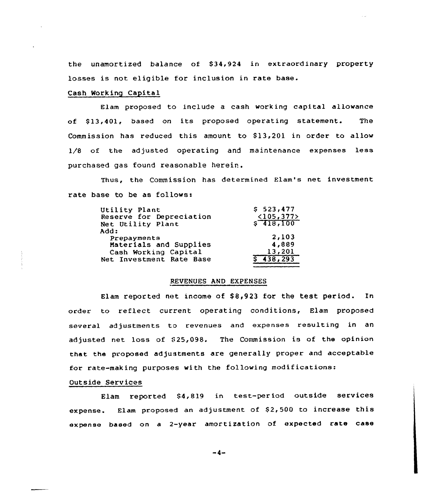the unamortized balance of \$34,924 in extraordinary property losses is not eligible for inclusion in rate base.

## Cash Working Capital

Elam proposed to include a cash working capital allowance of \$ 13,401, based on its proposed operating statement. The Commission has reduced this amount to  $$13,201$  in order to allow 1/8 of the adjusted operating and maintenance expenses less purchased gas found reasonable herein.

Thus, the Commission has determined Elam's net investment rate base to be as follows:

| Utility Plant            | \$523,477           |
|--------------------------|---------------------|
| Reserve for Depreciation | <105,377>           |
| Net Utility Plant        | \$7418,100          |
| Add:                     |                     |
| Prepayments              | 2,103               |
| Materials and Supplies   | 4,889               |
| Cash Working Capital     | 13,201              |
| Net Investment Rate Base | $\sqrt{5}$ 438, 293 |

#### REVENUES AND EXPENSES

Elam reported net income of  $$8,923$  for the test period. In order to reflect current operating conditions, Elam proposed several adjustments to revenues and expenses resulting in an adjusted net loss of \$25,098. The Commission is of the opinion that the proposed adjustments are generally proper and acceptable for rate-making purposes with the following modifications:

### Outside Services

Elam reported 84,819 in test-period outside services expense. Elam proposed an adjustment of \$2,500 to increase this expense based on a 2-year amortization of expected rate case

-4-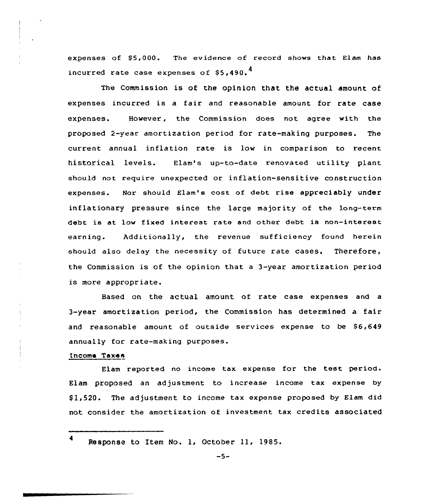expenses of \$5,000. The evidence of record shows that Elam has incurred rate case expenses of  $$5.490.$ <sup>4</sup>

The Commission is of the opinion that the actual amount of expenses incurred is a fair and reasonable amount for rate case expenses. However, the Commission does not agree with the proposed 2-year amortization period for rate-making purposes. The current annual inflation rate is low in comparison to recent historical levels. Elam's up-to-date renovated utility plant should not require unexpected or inflation-sensitive construction expenses. Nor should Elam's cost of debt rise appreciably under inflationary pressure since the large majority of the long-term debt is at low fixed interest rate and other debt is non-interest earning. Additionally, the revenue sufficiency found herein should also delay the necessity of future rate cases. Therefore, the Commission is of the opinion that a 3-year amortization period is more appropriate.

Based on the actual amount of rate case expenses and a 3-year amortization period, the Commission has determined a fair and reasonable amount of outside services expense to be \$6,649 annually for rate-making purposes.

## Income Taxes

Elam reported no income tax expense for the test period. Elam proposed an adjustment to increase income tax expense by \$ 1,520. The adjustment to income tax expense proposed by Elam did not consider the amortization of investment tax credits associated

<sup>4</sup> Response to Item No. 1, October 11, 1985.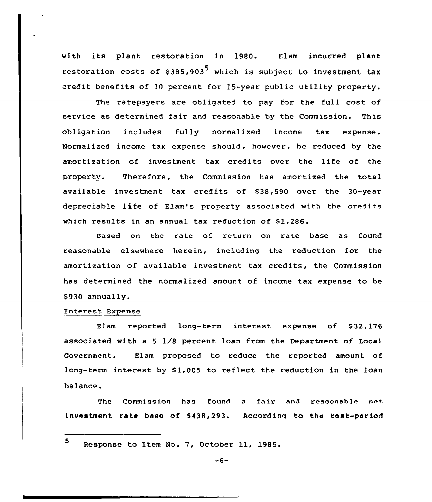with its plant restoration in 1980. Elam incurred plant restoration costs of \$385,903<sup>5</sup> which is subject to investment tax credit benefits of 10 percent for 15-year public utility property.

The ratepayers are obligated to pay for the full cost of service as determined fair and reasonable by the Commission. This obligation includes fully normalized income tax expense. Normalized income tax expense should, however, be reduced by the amortization of investment tax credits over the life of the property. Therefore, the Commission has amortized the total available investment tax credits of \$38,590 over the 30-year depreciable life of Elam's property associated with the credits which results in an annual tax reduction of \$1,286.

Based on the rate of return on rate base as found reasonable elsewhere herein, including the reduction for the amortization of available investment tax credits, the Commission has determined the normalized amount of income tax expense to be \$930 annually.

## Interest Expense

Elam reported long-term interest expense of \$32,176 associated with a 5  $1/8$  percent loan from the Department of Local Government. Elam proposed to reduce the reported amount of long-term interest by \$1,005 to reflect the reduction in the loan balance.

The Commission has found <sup>a</sup> fair and reasonable net investment rate base of \$438,293. According to the test-period

<sup>5</sup> Response to Item No. 7, October ll, 1985.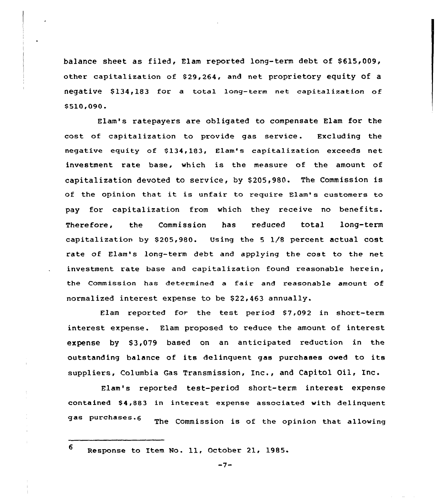balance sheet as filed, Elam reported long-term debt of \$615,009, other capitalization of \$ 29,264, and net proprietory equity Of a negative \$134,183 for a total long-term net capitalization of \$510,090.

Elam's ratepayers are obligated to compensate Elam for the cost of capitalization to provide gas service. Excluding the negative equity of \$134,183, Elam's capitalization exceeds net investment rate base, which is the measure of the amount of capitalization devoted to service, by \$ 205,980. The Commission is of the opinion that it is unfair to require Elam's customers to pay for capitalization from which they receive no benefits. Therefore, the Commission has reduced total long-ter capitalization by  $$205,980.$  Using the 5  $1/8$  percent actual cost rate of Elam's long-term debt and applying the cost to the net investment rate base and capitalization found reasonable herein, the Commission has determined a fair and reasonable amount of normalized interest expense to be  $$22,463$  annually.

Elam reported for the test period \$7,092 in short-term interest expense. Elam proposed to reduce the amount of interest expense by \$3,079 based on an anticipated reduction in the outstanding balance of its delinquent gas purchases owed to its suppliers, Columbia Gas Transmission, Inc., and Capitol Oil, Inc.

Elam's reported test-period short-term interest expense contained \$4,883 in interest expense associated with delinquent gas purchases.6 The Commission is of the opinion that allowing

<sup>6</sup> Response to Item No. 11, October 21, 1985.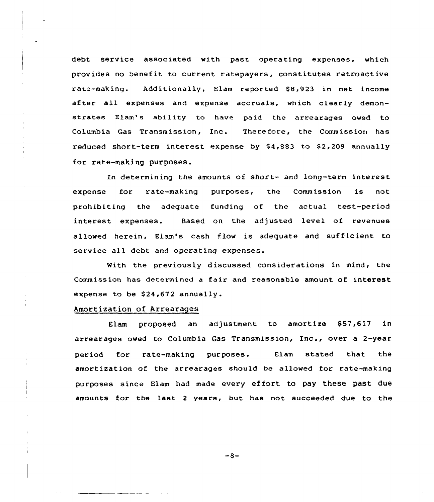debt service associated with past operating expenses, which provides no benefit to current ratepayers, constitutes retroactive rate-making. Additionally, Elam reported 88,923 in net income after all expenses and expense accruals, which clearly demonstrates Elam's ability to have paid the arrearages owed to Columbia Gas Transmission, Inc. Therefore, the Commission has reduced short-term interest expense by  $$4,883$  to  $$2,209$  annually for rate-making purposes.

In determining the amounts of short- and long-term interest expense for rate-making purposes, the Commission is not prohibiting the adequate funding of the actual test-period interest expenses. Based on the adjusted level of revenues allowed herein, Elam's cash flow is adequate and sufficient to service all debt and operating expenses.

With the previously discussed considerations in mind, the Commission has determined <sup>a</sup> fair and reasonable amount of interest expense to be S24.672 annually.

### Amortization of Arrearages

Elam proposed an adjustment to amortize  $$57,617$  in arrearages owed to Columbia Gas Transmission, Inc., over <sup>a</sup> 2-year period for rate-making purposes. Elam stated that the amortization of the arrearages should be allowed for rate-making purposes since Elam had made every ef fort to pay these past due amounts for the last <sup>2</sup> years, but has not succeeded due to the

 $-8-$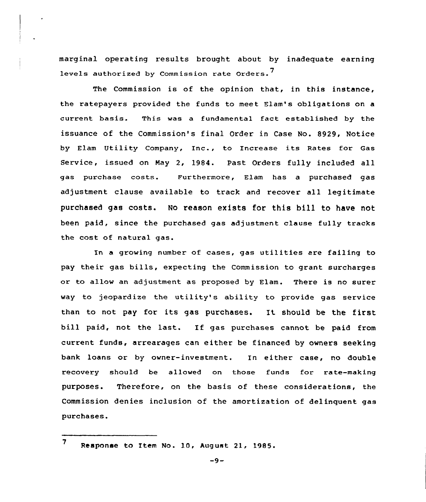marginal operating results brought about by inadequate earning levels authorized by Commission rate Orders.<sup>7</sup>

The Commission is of the opinion that, in this instance, the ratepayers provided the funds to meet Elam's obligations on a current basis. This was a fundamental fact established by the issuance of the Commission's final Order in Case No. 8929, Notice by Elam Utility Company, Inc., to Increase its Rates for Gas Service, issued on May 2, 1984. Past Orders fully included all gas purchase costs. Furthermore, Elam has a purchased gas adjustment clause available to track and recover all legitimate purchased gas costs. No reason exists for this bill to have not been paid, since the purchased gas adjustment clause fully tracks the cost of natural gas.

In <sup>a</sup> growing number of cases, gas utilities are failing to pay their gas bills, expecting the Commission to grant surcharges or to allow an adjustment as proposed by Elam. There is no surer way to jeopardize the utility's ability to provide gas service than to not pay for its gas purchases. It should be the first bill paid, not the last. If gas purchases cannot be paid from current funds, arrearages can either be financed by owners seeking bank loans or by owner-investment. In either case, no double recovery should be alIowed on those funds for rate-making purposes. Therefore, on the basis of these considerations, the Commission denies inclusion of the amortization of delinquent gas purchases.

<sup>7</sup> Response to Item No. 10, August 21, 1985.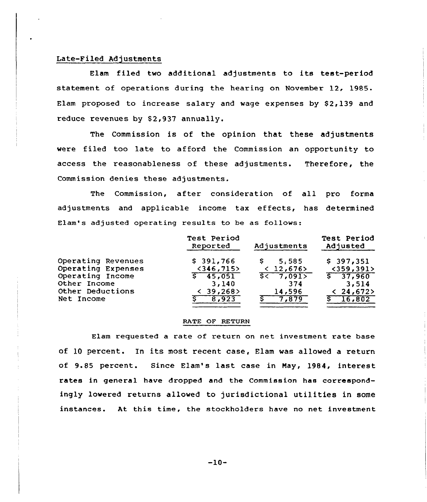## Late-Filed Adjustments

Elam filed two additional adjustments to its test-period statement of operations during the hearing on November 12, 1985. Elam proposed to increase salary and wage expenses by  $$2,139$  and reduce revenues by \$2,937 annually.

The Commission is of the opinion that these adjustments were filed too late to afford the Commission an opportunity to access the reasonableness of these adjustments. Therefore, the Commission denies these adjustments.

The Commission, after consideration of all pro forma adjustments and applicable income tax effects, has determined Elam's adjusted operating results to be as follows:

|                    | Test Period<br>Reported | Adjustments | Test Period<br>Adjusted |
|--------------------|-------------------------|-------------|-------------------------|
| Operating Revenues | \$391,766               | 5.585       | \$397,351               |
| Operating Expenses | $<$ 346,715>            | < 12,676    | $<$ 359,391>            |
| Operating Income   | \$ 45,051               | 5< 7,091    | $\sqrt{5}$ 37,960       |
| Other Income       | 3,140                   | 374         | 3,514                   |
| Other Deductions   | 39,268                  | 14,596      | < 24,672                |
| Net Income         | 8,923                   | 7,879       | 16,802                  |

### RATE OF RETURN

Elam requested a rate of return on net investment rate base of 10 percent. In its most recent case, Elam was allowed a return of 9.85 percent. Since Elam's last case in Nay, 1984, interest rates in general have dropped and the Commission has correspondingly lowered returns allowed to jurisdictional utilities in some instances. At this time, the stockholders have no net investment

 $-10-$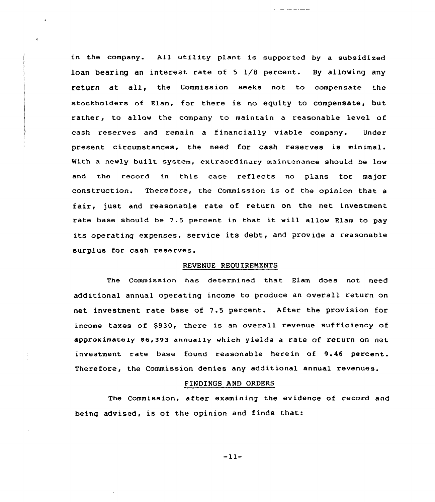in the company. All utility plant is supported by a subsidized loan bearing an interest rate of 5 1/8 percent. By allowing any return at all, the commission seeks not to compensate the stockholders of Elam, for there is no equity to compensate, but rather, to allow the company to maintain a reasonable level of cash reserves and remain a financially viable company. Under present circumstances, the need for cash reserves is minimal. With a newly built system, extraordinary maintenance should be low and the record in this case reflects no plans for major construction. Therefore, the Commission is of the opinion that <sup>a</sup> fair, just and reasonable rate of return on the net investment rate base should be 7.5 percent in that it will allow Elam to pay its operating expenses, service its debt, and provide <sup>a</sup> reasonable surplus for cash reserves.

### REVENUE REQUIREMENTS

The Commission has determined that Elam does not need additional annual operating income to produce an overall return on net investment rate base of 7.5 percent. After the provision for income taxes of \$930, there is an overall revenue sufficiency of approximately \$6,393 annually which yields a rate of return on net investment rate base found reasonable herein of 9.46 percent. Therefore, the Commission denies any additional annual revenues.

### FINDINGS AND ORDERS

The Commission, after examining the evidence of record and being advised, is of the opinion and finds that:

 $-11-$